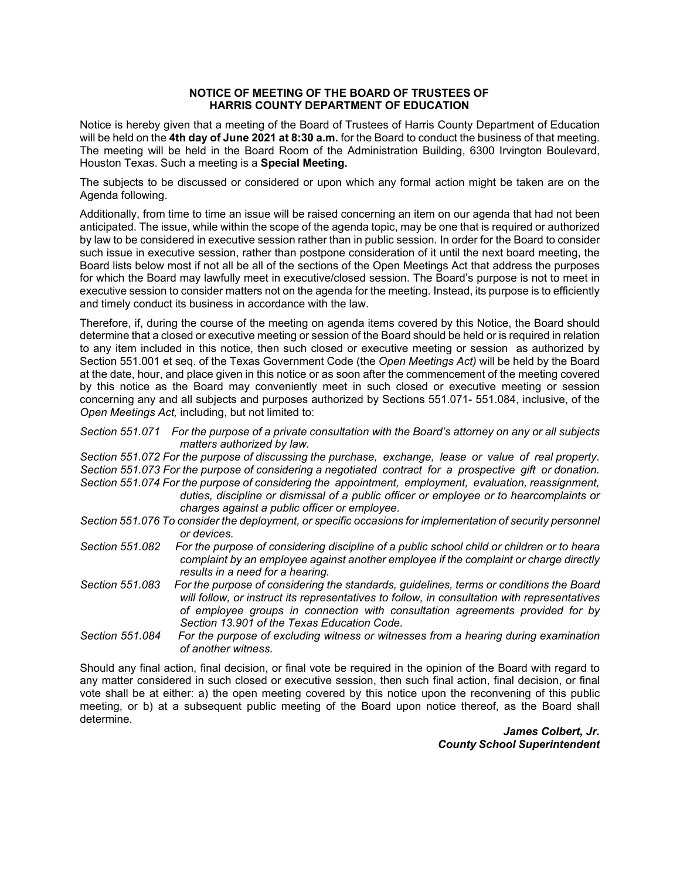## **NOTICE OF MEETING OF THE BOARD OF TRUSTEES OF HARRIS COUNTY DEPARTMENT OF EDUCATION**

Notice is hereby given that a meeting of the Board of Trustees of Harris County Department of Education will be held on the **4th day of June 2021 at 8:30 a.m.** for the Board to conduct the business of that meeting. The meeting will be held in the Board Room of the Administration Building, 6300 Irvington Boulevard, Houston Texas. Such a meeting is a **Special Meeting.** 

The subjects to be discussed or considered or upon which any formal action might be taken are on the Agenda following.

Additionally, from time to time an issue will be raised concerning an item on our agenda that had not been anticipated. The issue, while within the scope of the agenda topic, may be one that is required or authorized by law to be considered in executive session rather than in public session. In order for the Board to consider such issue in executive session, rather than postpone consideration of it until the next board meeting, the Board lists below most if not all be all of the sections of the Open Meetings Act that address the purposes for which the Board may lawfully meet in executive/closed session. The Board's purpose is not to meet in executive session to consider matters not on the agenda for the meeting. Instead, its purpose is to efficiently and timely conduct its business in accordance with the law.

Therefore, if, during the course of the meeting on agenda items covered by this Notice, the Board should determine that a closed or executive meeting or session of the Board should be held or is required in relation to any item included in this notice, then such closed or executive meeting or session as authorized by Section 551.001 et seq. of the Texas Government Code (the *Open Meetings Act)* will be held by the Board at the date, hour, and place given in this notice or as soon after the commencement of the meeting covered by this notice as the Board may conveniently meet in such closed or executive meeting or session concerning any and all subjects and purposes authorized by Sections 551.071- 551.084, inclusive, of the *Open Meetings Act,* including, but not limited to:

*Section 551.071 For the purpose of a private consultation with the Board's attorney on any or all subjects matters authorized by law.* 

*Section 551.072 For the purpose of discussing the purchase, exchange, lease or value of real property. Section 551.073 For the purpose of considering a negotiated contract for a prospective gift or donation. Section 551.074 For the purpose of considering the appointment, employment, evaluation, reassignment,* 

- *duties, discipline or dismissal of a public officer or employee or to hearcomplaints or charges against a public officer or employee.*
- *Section 551.076 To consider the deployment, or specific occasions for implementation of security personnel or devices.*
- Section 551.082 For the purpose of considering discipline of a public school child or children or to heara *complaint by an employee against another employee if the complaint or charge directly results in a need for a hearing.*
- *Section 551.083 For the purpose of considering the standards, guidelines, terms or conditions the Board will follow, or instruct its representatives to follow, in consultation with representatives of employee groups in connection with consultation agreements provided for by Section 13.901 of the Texas Education Code.*
- *Section 551.084 For the purpose of excluding witness or witnesses from a hearing during examination of another witness.*

Should any final action, final decision, or final vote be required in the opinion of the Board with regard to any matter considered in such closed or executive session, then such final action, final decision, or final vote shall be at either: a) the open meeting covered by this notice upon the reconvening of this public meeting, or b) at a subsequent public meeting of the Board upon notice thereof, as the Board shall determine.

> *James Colbert, Jr. County School Superintendent*